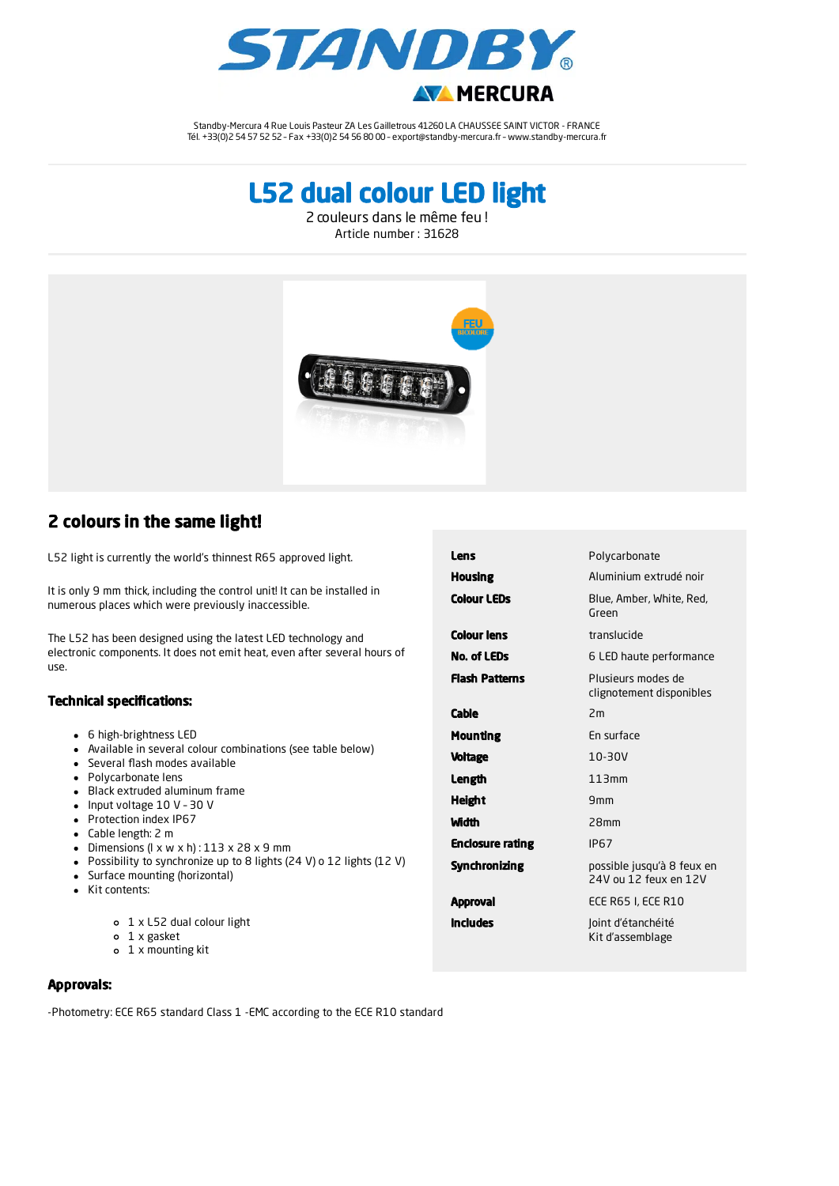

Standby-Mercura 4 Rue Louis Pasteur ZA Les Gailletrous 41260 LA CHAUSSEE SAINT VICTOR - FRANCE Tél. +33(0)2 54 57 52 52 – Fax +33(0)2 54 56 80 00 – export@standby-mercura.fr – www.standby-mercura.fr

L52 dual colour LED light

2 couleurs dans le même feu ! Article number : 31628



## 2 colours in the same light!

L52 light is currently the world's thinnest R65 approved light.

It is only 9 mm thick, including the control unit! It can be installed in numerous places which were previously inaccessible.

The L52 has been designed using the latest LED technology and electronic components. It does not emit heat, even after several hours of use.

## Technical specifications:

- 6 high-brightness LED
- Available in several colour combinations (see table below)
- Several flash modes available
- Polycarbonate lens
- Black extruded aluminum frame
- Input voltage 10 V 30 V
- Protection index IP67
- Cable length: 2 m
- Dimensions  $(l \times w \times h)$ : 113  $\times$  28  $\times$  9 mm
- Possibility to synchronize up to 8 lights (24 V) o 12 lights (12 V)
- Surface mounting (horizontal)
- Kit contents:
	- 1 x L52 dual colour light
	- 1 x gasket
	- 1 x mounting kit

| Lens                    | Polycarbonate                                       |
|-------------------------|-----------------------------------------------------|
| Housing                 | Aluminium extrudé noir                              |
| <b>Colour LEDs</b>      | Blue, Amber, White, Red,<br>Green                   |
| Colour Iens             | translucide                                         |
| No. of LEDs             | 6 LED haute performance                             |
| <b>Flash Patterns</b>   | Plusieurs modes de<br>clignotement disponibles      |
| Cable                   | 2m                                                  |
| Mounting                | En surface                                          |
| Voltage                 | $10 - 30V$                                          |
| Length                  | 113mm                                               |
| Height                  | 9mm                                                 |
| Width                   | 28mm                                                |
| <b>Enclosure rating</b> | <b>IP67</b>                                         |
| Synchronizing           | possible jusqu'à 8 feux en<br>24V ou 12 feux en 12V |
| Approval                | <b>ECE R65 I, ECE R10</b>                           |
| Includes                | Joint d'étanchéité<br>Kit d'assemblage              |

Approvals:

-Photometry: ECE R65 standard Class 1 -EMC according to the ECE R10 standard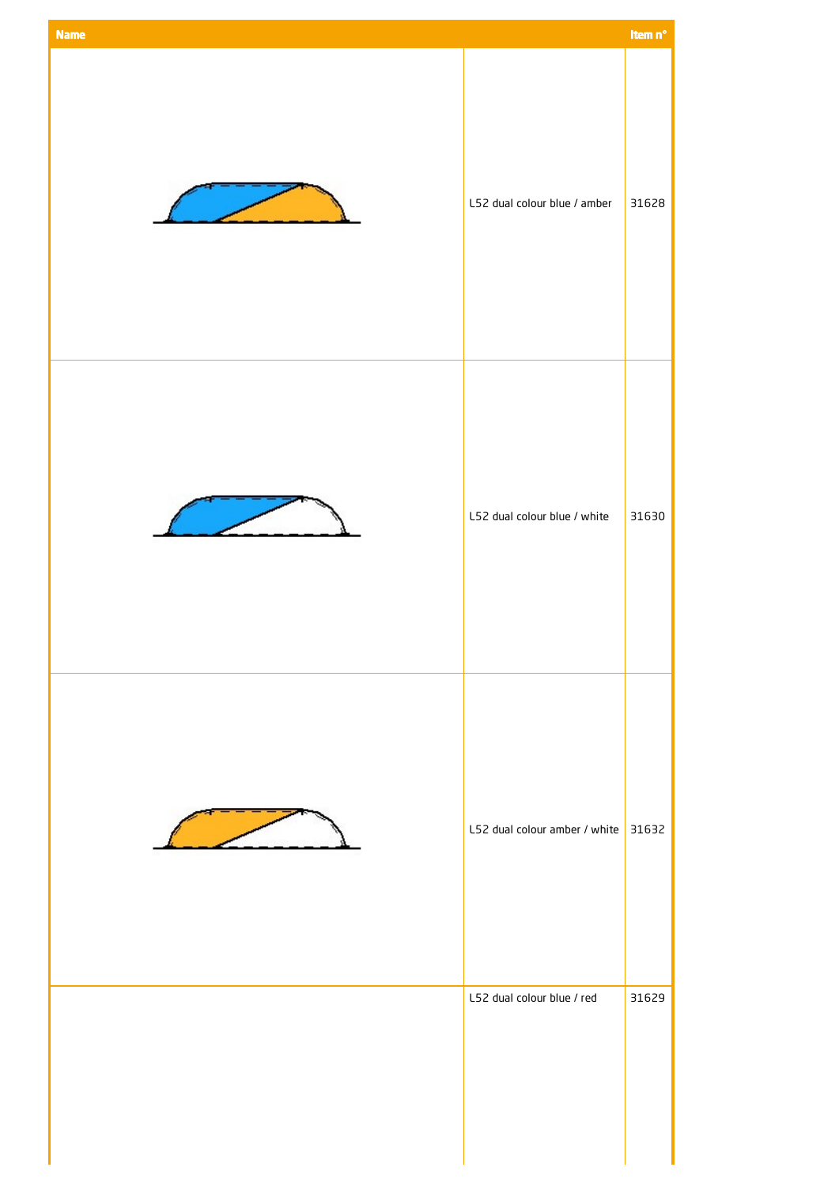| <b>Name</b> |                                     | Item n° |
|-------------|-------------------------------------|---------|
|             | L52 dual colour blue / amber        | 31628   |
|             | L52 dual colour blue / white        | 31630   |
|             | L52 dual colour amber / white 31632 |         |
|             | L52 dual colour blue / red          | 31629   |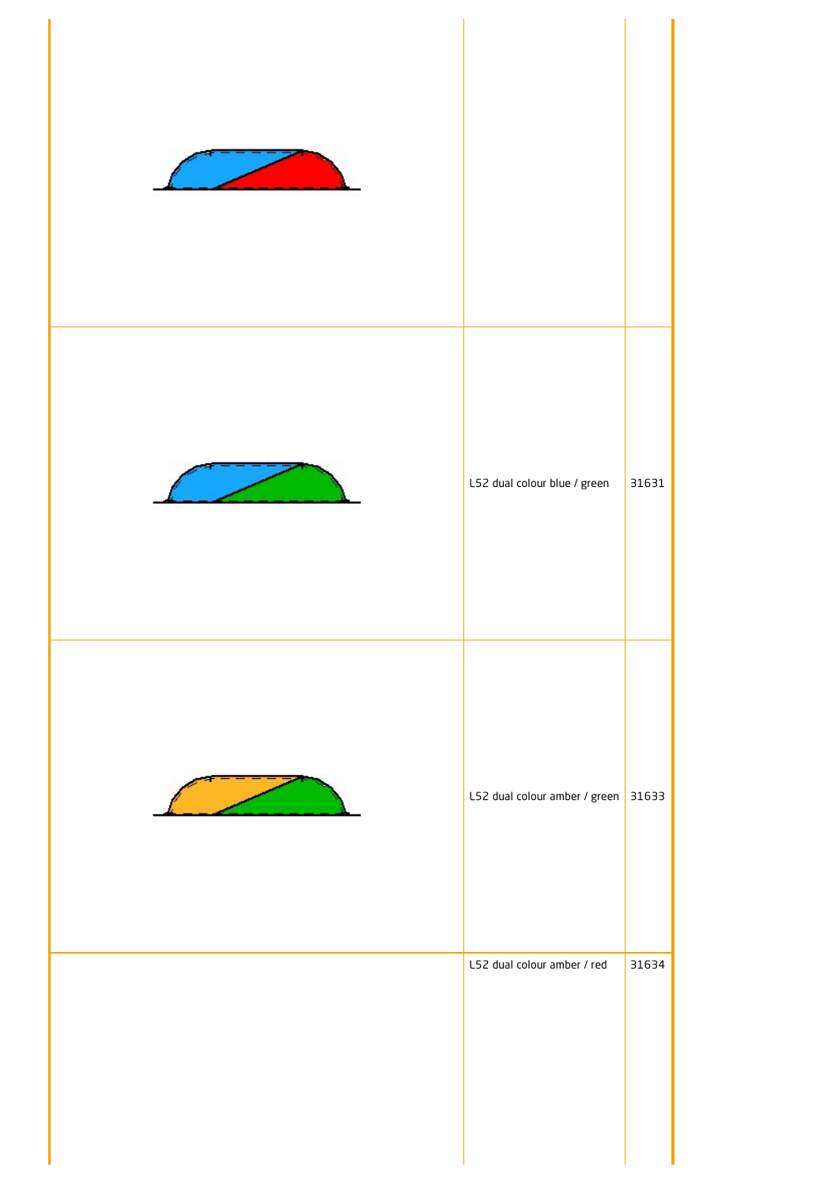| L52 dual colour blue / green  | 31631 |
|-------------------------------|-------|
| L52 dual colour amber / green | 31633 |
| L52 dual colour amber / red   | 31634 |